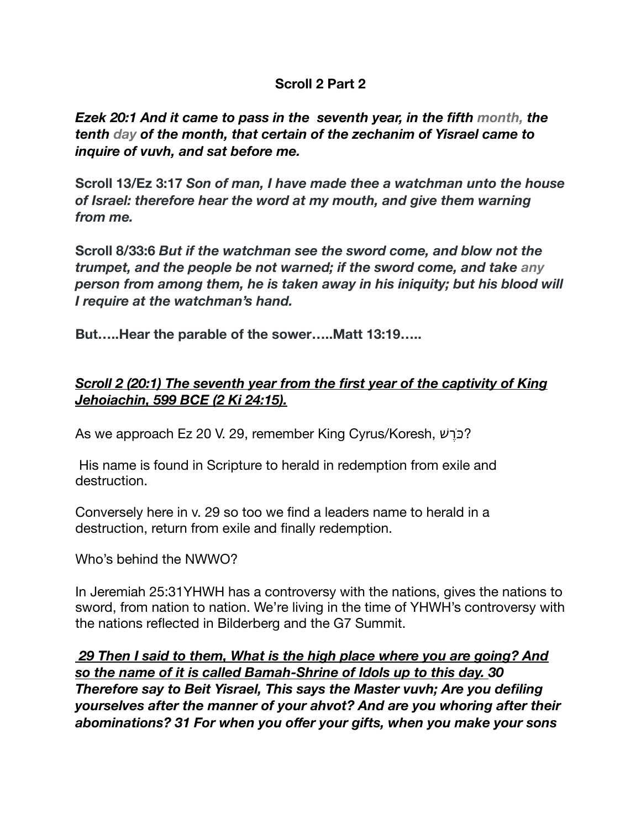### **Scroll 2 Part 2**

*Ezek 20:1 And it came to pass in the seventh year, in the fifth month, the tenth day of the month, that certain of the zechanim of Yisrael came to inquire of vuvh, and sat before me.*

**Scroll 13/Ez 3:17** *Son of man, I have made thee a watchman unto the house of Israel: therefore hear the word at my mouth, and give them warning from me.* 

**Scroll 8/33:6** *But if the watchman see the sword come, and blow not the trumpet, and the people be not warned; if the sword come, and take any person from among them, he is taken away in his iniquity; but his blood will I require at the watchman's hand.*

**But…..Hear the parable of the sower…..Matt 13:19…..** 

## *Scroll 2 (20:1) The seventh year from the first year of the captivity of King Jehoiachin, 599 BCE (2 Ki 24:15).*

As we approach Ez 20 V. 29, remember King Cyrus/Koresh, רשֹכ?

His name is found in Scripture to herald in redemption from exile and destruction.

Conversely here in v. 29 so too we find a leaders name to herald in a destruction, return from exile and finally redemption.

Who's behind the NWWO?

In Jeremiah 25:31YHWH has a controversy with the nations, gives the nations to sword, from nation to nation. We're living in the time of YHWH's controversy with the nations reflected in Bilderberg and the G7 Summit.

 *29 Then I said to them, What is the high place where you are going? And so the name of it is called Bamah-Shrine of Idols up to this day. 30 Therefore say to Beit Yisrael, This says the Master vuvh; Are you defiling yourselves after the manner of your ahvot? And are you whoring after their abominations? 31 For when you offer your gifts, when you make your sons*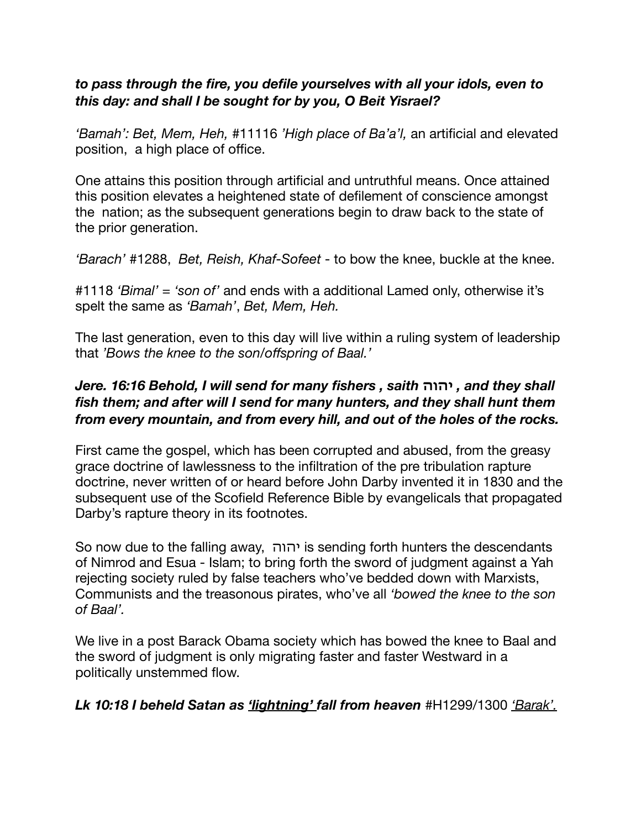### *to pass through the fire, you defile yourselves with all your idols, even to this day: and shall I be sought for by you, O Beit Yisrael?*

*'Bamah': Bet, Mem, Heh,* #11116 *'High place of Ba'a'l,* an artificial and elevated position, a high place of office.

One attains this position through artificial and untruthful means. Once attained this position elevates a heightened state of defilement of conscience amongst the nation; as the subsequent generations begin to draw back to the state of the prior generation.

*'Barach'* #1288, *Bet, Reish, Khaf-Sofeet* - to bow the knee, buckle at the knee.

#1118 *'Bimal'* = *'son of'* and ends with a additional Lamed only, otherwise it's spelt the same as *'Bamah'*, *Bet, Mem, Heh.* 

The last generation, even to this day will live within a ruling system of leadership that *'Bows the knee to the son/offspring of Baal.'*

## *Jere. 16:16 Behold, I will send for many fishers , saith* **יהוה** *, and they shall fish them; and after will I send for many hunters, and they shall hunt them from every mountain, and from every hill, and out of the holes of the rocks.*

First came the gospel, which has been corrupted and abused, from the greasy grace doctrine of lawlessness to the infiltration of the pre tribulation rapture doctrine, never written of or heard before John Darby invented it in 1830 and the subsequent use of the Scofield Reference Bible by evangelicals that propagated Darby's rapture theory in its footnotes.

So now due to the falling away, יהוה is sending forth hunters the descendants of Nimrod and Esua - Islam; to bring forth the sword of judgment against a Yah rejecting society ruled by false teachers who've bedded down with Marxists, Communists and the treasonous pirates, who've all *'bowed the knee to the son of Baal'.* 

We live in a post Barack Obama society which has bowed the knee to Baal and the sword of judgment is only migrating faster and faster Westward in a politically unstemmed flow.

*Lk 10:18 I beheld Satan as 'lightning' fall from heaven* #H1299/1300 *'Barak'.*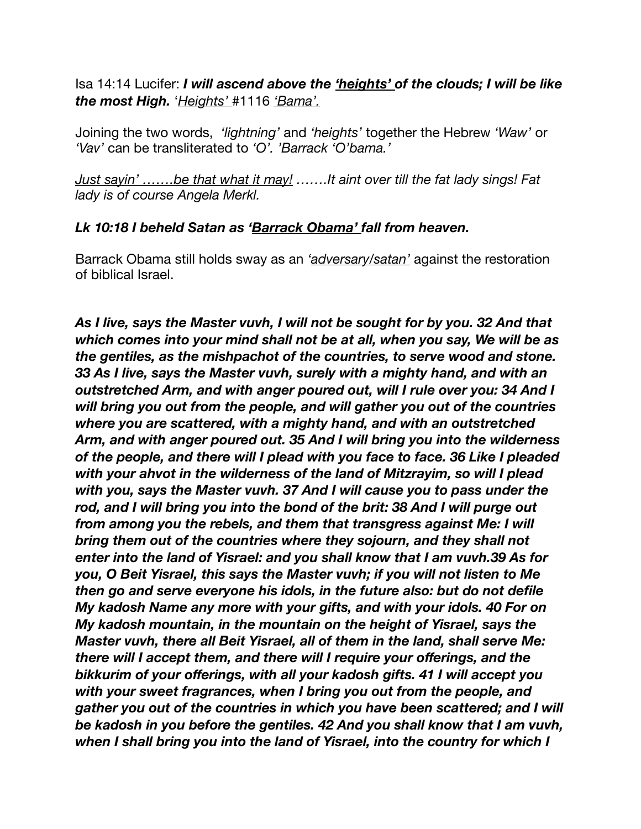Isa 14:14 Lucifer: *I will ascend above the 'heights' of the clouds; I will be like the most High.* '*Heights'* #1116 *'Bama'.* 

Joining the two words, *'lightning'* and *'heights'* together the Hebrew *'Waw'* or *'Vav'* can be transliterated to *'O'. 'Barrack 'O'bama.'* 

*Just sayin' …….be that what it may! …….It aint over till the fat lady sings! Fat lady is of course Angela Merkl.* 

### *Lk 10:18 I beheld Satan as 'Barrack Obama' fall from heaven.*

Barrack Obama still holds sway as an *'adversary/satan'* against the restoration of biblical Israel.

*As I live, says the Master vuvh, I will not be sought for by you. 32 And that which comes into your mind shall not be at all, when you say, We will be as the gentiles, as the mishpachot of the countries, to serve wood and stone. 33 As I live, says the Master vuvh, surely with a mighty hand, and with an outstretched Arm, and with anger poured out, will I rule over you: 34 And I will bring you out from the people, and will gather you out of the countries where you are scattered, with a mighty hand, and with an outstretched Arm, and with anger poured out. 35 And I will bring you into the wilderness of the people, and there will I plead with you face to face. 36 Like I pleaded with your ahvot in the wilderness of the land of Mitzrayim, so will I plead with you, says the Master vuvh. 37 And I will cause you to pass under the rod, and I will bring you into the bond of the brit: 38 And I will purge out from among you the rebels, and them that transgress against Me: I will bring them out of the countries where they sojourn, and they shall not enter into the land of Yisrael: and you shall know that I am vuvh.39 As for you, O Beit Yisrael, this says the Master vuvh; if you will not listen to Me then go and serve everyone his idols, in the future also: but do not defile My kadosh Name any more with your gifts, and with your idols. 40 For on My kadosh mountain, in the mountain on the height of Yisrael, says the Master vuvh, there all Beit Yisrael, all of them in the land, shall serve Me: there will I accept them, and there will I require your offerings, and the bikkurim of your offerings, with all your kadosh gifts. 41 I will accept you with your sweet fragrances, when I bring you out from the people, and gather you out of the countries in which you have been scattered; and I will be kadosh in you before the gentiles. 42 And you shall know that I am vuvh, when I shall bring you into the land of Yisrael, into the country for which I*